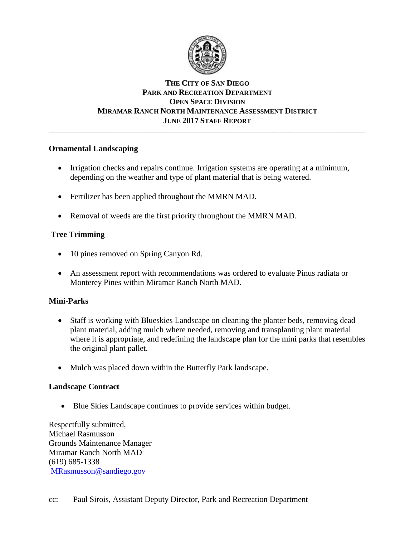

## **THE CITY OF SAN DIEGO PARK AND RECREATION DEPARTMENT OPEN SPACE DIVISION MIRAMAR RANCH NORTH MAINTENANCE ASSESSMENT DISTRICT JUNE 2017 STAFF REPORT**

\_\_\_\_\_\_\_\_\_\_\_\_\_\_\_\_\_\_\_\_\_\_\_\_\_\_\_\_\_\_\_\_\_\_\_\_\_\_\_\_\_\_\_\_\_\_\_\_\_\_\_\_\_\_\_\_\_\_\_\_\_\_\_\_\_\_\_\_\_\_\_\_\_\_\_\_\_\_

### **Ornamental Landscaping**

- Irrigation checks and repairs continue. Irrigation systems are operating at a minimum, depending on the weather and type of plant material that is being watered.
- Fertilizer has been applied throughout the MMRN MAD.
- Removal of weeds are the first priority throughout the MMRN MAD.

# **Tree Trimming**

- 10 pines removed on Spring Canyon Rd.
- An assessment report with recommendations was ordered to evaluate Pinus radiata or Monterey Pines within Miramar Ranch North MAD.

## **Mini-Parks**

- Staff is working with Blueskies Landscape on cleaning the planter beds, removing dead plant material, adding mulch where needed, removing and transplanting plant material where it is appropriate, and redefining the landscape plan for the mini parks that resembles the original plant pallet.
- Mulch was placed down within the Butterfly Park landscape.

## **Landscape Contract**

Blue Skies Landscape continues to provide services within budget.

Respectfully submitted, Michael Rasmusson Grounds Maintenance Manager Miramar Ranch North MAD (619) 685-1338 [MRasmusson@sandiego.gov](mailto:MRasmusson@sandiego.gov)